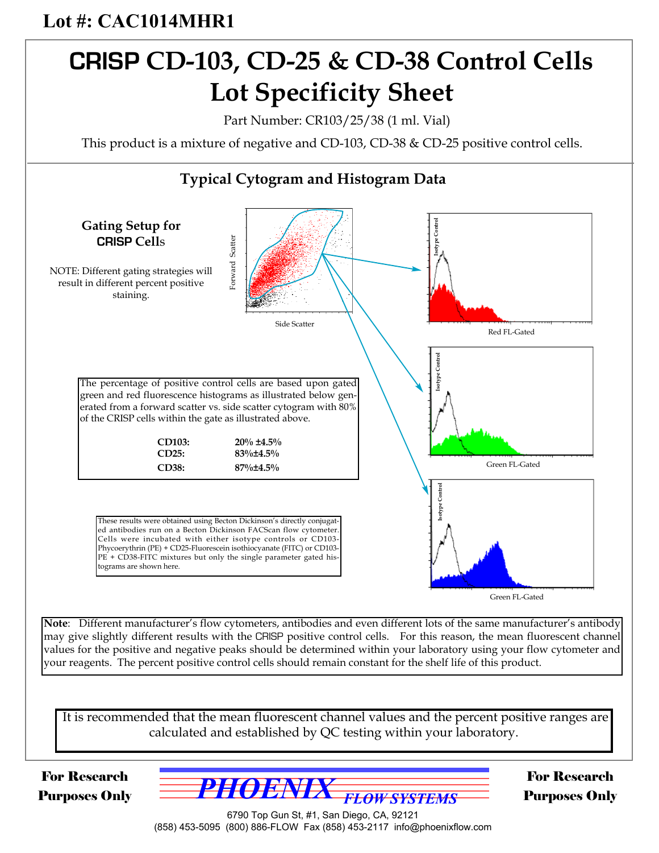# **Lot #: CAC1014MHR1**

# **CRISP CD-103, CD-25 & CD-38 Control Cells Lot Specificity Sheet**

Part Number: CR103/25/38 (1 ml. Vial)

This product is a mixture of negative and CD-103, CD-38 & CD-25 positive control cells.



For Research Purposes Only



6790 Top Gun St, #1, San Diego, CA, 92121 (858) 453-5095 (800) 886-FLOW Fax (858) 453-2117 info@phoenixflow.com